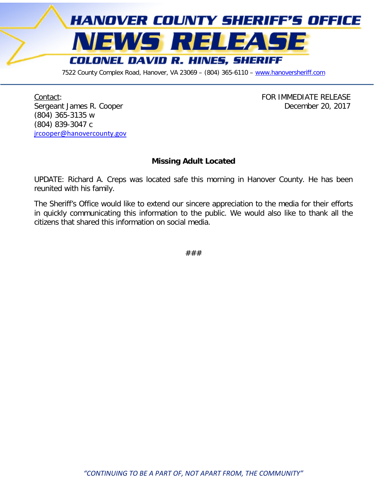

7522 County Complex Road, Hanover, VA 23069 - (804) 365-6110 - [www.hanoversheriff.com](http://www.hanoversheriff.com/)

Contact: Contact: Exercise Contact: Exercise Contact: Exercise Contact: Exercise Contact: Exercise Contact: Exercise Contact: Exercise Contact: Exercise Contact: Exercise Contact: Exercise Contact: Exercise Contact: Exerci Sergeant James R. Cooper **December 20, 2017** (804) 365-3135 w (804) 839-3047 c [jrcooper@hanovercounty.gov](mailto:jrcooper@hanovercounty.gov)

## **Missing Adult Located**

UPDATE: Richard A. Creps was located safe this morning in Hanover County. He has been reunited with his family.

The Sheriff's Office would like to extend our sincere appreciation to the media for their efforts in quickly communicating this information to the public. We would also like to thank all the citizens that shared this information on social media.

###